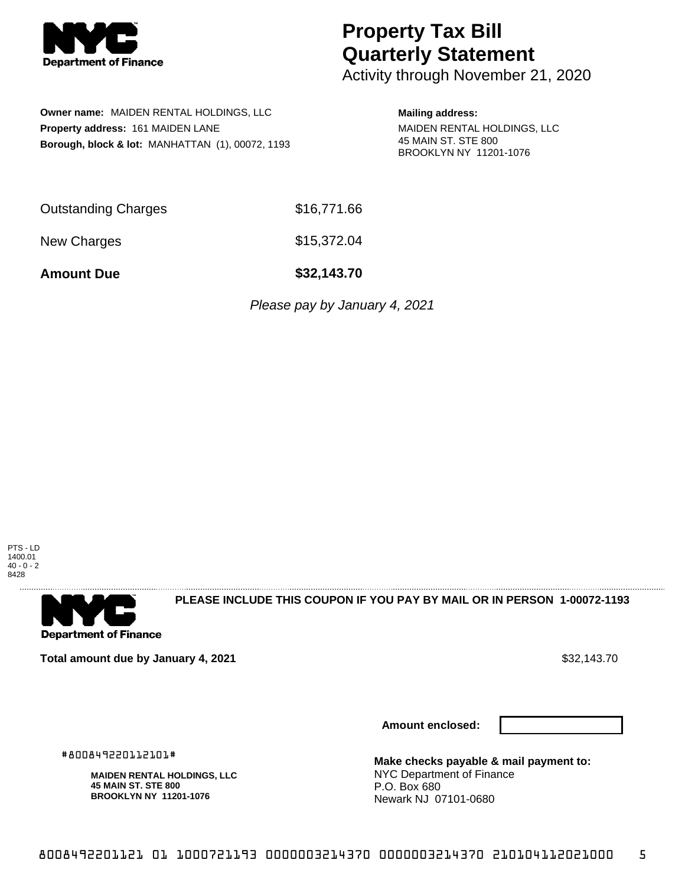

## **Property Tax Bill Quarterly Statement**

Activity through November 21, 2020

**Owner name:** MAIDEN RENTAL HOLDINGS, LLC **Property address:** 161 MAIDEN LANE **Borough, block & lot:** MANHATTAN (1), 00072, 1193

## **Mailing address:**

MAIDEN RENTAL HOLDINGS, LLC 45 MAIN ST. STE 800 BROOKLYN NY 11201-1076

|                            | - - - - - - - - |
|----------------------------|-----------------|
| <b>Outstanding Charges</b> | \$16,771.66     |

New Charges \$15,372.04

**Amount Due \$32,143.70**

Please pay by January 4, 2021

PTS - LD 1400.01 40 - 0 - 2 8428



**PLEASE INCLUDE THIS COUPON IF YOU PAY BY MAIL OR IN PERSON 1-00072-1193** 

**Total amount due by January 4, 2021 \$32,143.70** \$32,143.70

**Amount enclosed:**



#800849220112101#

**MAIDEN RENTAL HOLDINGS, LLC 45 MAIN ST. STE 800 BROOKLYN NY 11201-1076**

**Make checks payable & mail payment to:** NYC Department of Finance P.O. Box 680 Newark NJ 07101-0680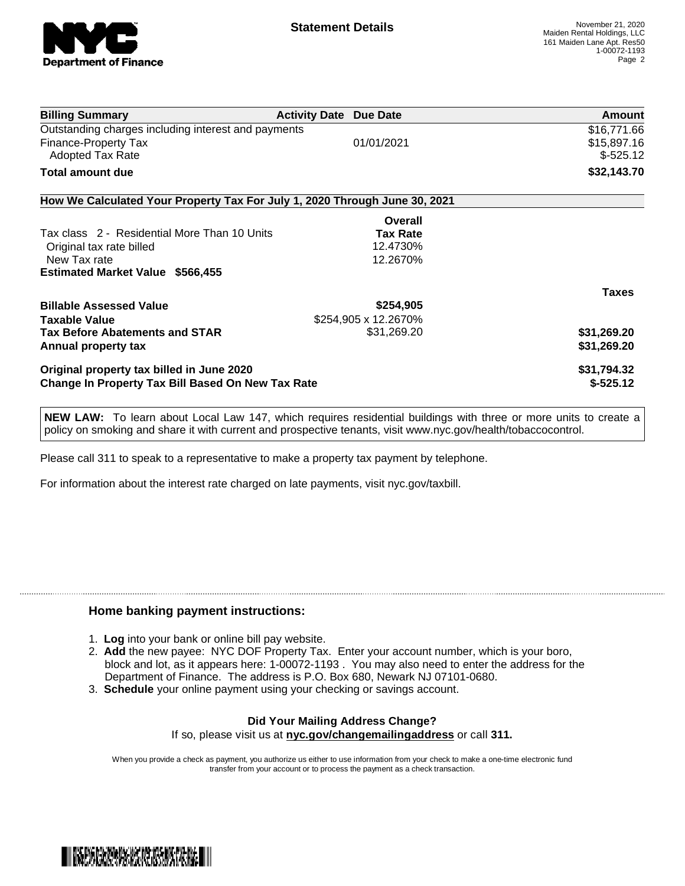

| <b>Billing Summary</b>                                                     | <b>Activity Date Due Date</b> |                 | Amount       |
|----------------------------------------------------------------------------|-------------------------------|-----------------|--------------|
| Outstanding charges including interest and payments                        |                               |                 | \$16,771.66  |
| Finance-Property Tax                                                       |                               | 01/01/2021      | \$15,897.16  |
| <b>Adopted Tax Rate</b>                                                    |                               |                 | $$-525.12$   |
| Total amount due                                                           |                               |                 | \$32,143.70  |
| How We Calculated Your Property Tax For July 1, 2020 Through June 30, 2021 |                               |                 |              |
|                                                                            |                               | Overall         |              |
| Tax class 2 - Residential More Than 10 Units                               |                               | <b>Tax Rate</b> |              |
| Original tax rate billed                                                   |                               | 12.4730%        |              |
| New Tax rate                                                               |                               | 12.2670%        |              |
| <b>Estimated Market Value \$566,455</b>                                    |                               |                 |              |
|                                                                            |                               |                 | <b>Taxes</b> |
| <b>Billable Assessed Value</b>                                             |                               | \$254,905       |              |
| Taxable Value                                                              | \$254,905 x 12.2670%          |                 |              |
| <b>Tax Before Abatements and STAR</b>                                      |                               | \$31,269.20     | \$31,269.20  |
| Annual property tax                                                        |                               |                 | \$31,269.20  |
| Original property tax billed in June 2020                                  |                               |                 | \$31,794.32  |
| <b>Change In Property Tax Bill Based On New Tax Rate</b>                   |                               | $$-525.12$      |              |
|                                                                            |                               |                 |              |

**NEW LAW:** To learn about Local Law 147, which requires residential buildings with three or more units to create a policy on smoking and share it with current and prospective tenants, visit www.nyc.gov/health/tobaccocontrol.

Please call 311 to speak to a representative to make a property tax payment by telephone.

For information about the interest rate charged on late payments, visit nyc.gov/taxbill.

## **Home banking payment instructions:**

- 1. **Log** into your bank or online bill pay website.
- 2. **Add** the new payee: NYC DOF Property Tax. Enter your account number, which is your boro, block and lot, as it appears here: 1-00072-1193 . You may also need to enter the address for the Department of Finance. The address is P.O. Box 680, Newark NJ 07101-0680.
- 3. **Schedule** your online payment using your checking or savings account.

## **Did Your Mailing Address Change?** If so, please visit us at **nyc.gov/changemailingaddress** or call **311.**

When you provide a check as payment, you authorize us either to use information from your check to make a one-time electronic fund transfer from your account or to process the payment as a check transaction.